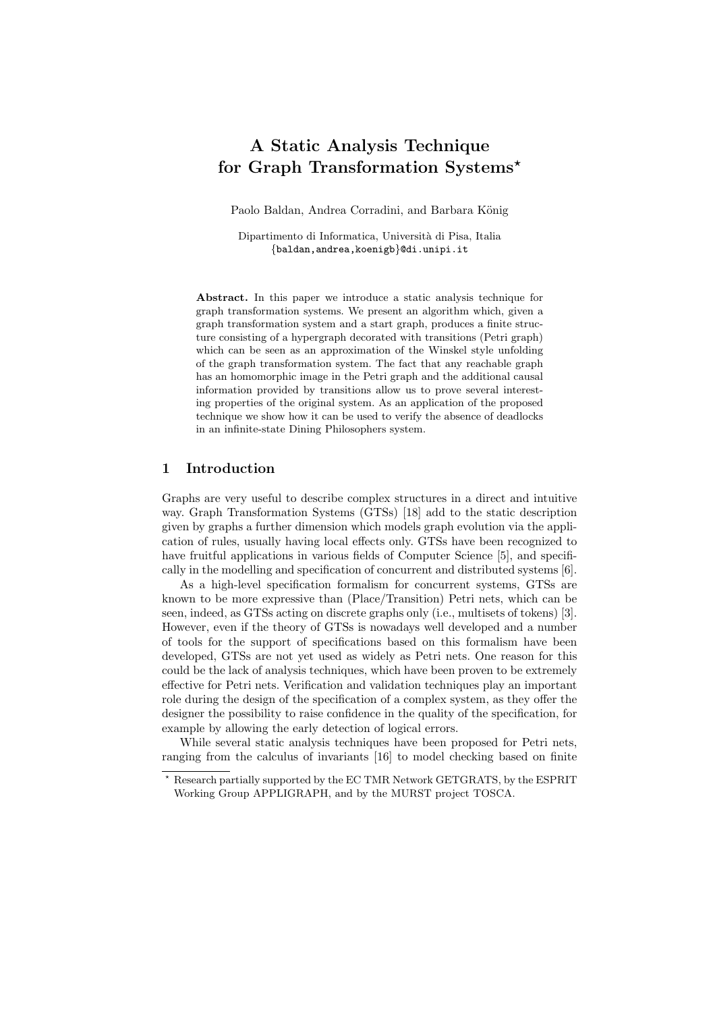# A Static Analysis Technique for Graph Transformation Systems?

Paolo Baldan, Andrea Corradini, and Barbara König

Dipartimento di Informatica, Universit`a di Pisa, Italia {baldan,andrea,koenigb}@di.unipi.it

Abstract. In this paper we introduce a static analysis technique for graph transformation systems. We present an algorithm which, given a graph transformation system and a start graph, produces a finite structure consisting of a hypergraph decorated with transitions (Petri graph) which can be seen as an approximation of the Winskel style unfolding of the graph transformation system. The fact that any reachable graph has an homomorphic image in the Petri graph and the additional causal information provided by transitions allow us to prove several interesting properties of the original system. As an application of the proposed technique we show how it can be used to verify the absence of deadlocks in an infinite-state Dining Philosophers system.

## 1 Introduction

Graphs are very useful to describe complex structures in a direct and intuitive way. Graph Transformation Systems (GTSs) [18] add to the static description given by graphs a further dimension which models graph evolution via the application of rules, usually having local effects only. GTSs have been recognized to have fruitful applications in various fields of Computer Science [5], and specifically in the modelling and specification of concurrent and distributed systems [6].

As a high-level specification formalism for concurrent systems, GTSs are known to be more expressive than (Place/Transition) Petri nets, which can be seen, indeed, as GTSs acting on discrete graphs only (i.e., multisets of tokens) [3]. However, even if the theory of GTSs is nowadays well developed and a number of tools for the support of specifications based on this formalism have been developed, GTSs are not yet used as widely as Petri nets. One reason for this could be the lack of analysis techniques, which have been proven to be extremely effective for Petri nets. Verification and validation techniques play an important role during the design of the specification of a complex system, as they offer the designer the possibility to raise confidence in the quality of the specification, for example by allowing the early detection of logical errors.

While several static analysis techniques have been proposed for Petri nets, ranging from the calculus of invariants [16] to model checking based on finite

<sup>?</sup> Research partially supported by the EC TMR Network GETGRATS, by the ESPRIT Working Group APPLIGRAPH, and by the MURST project TOSCA.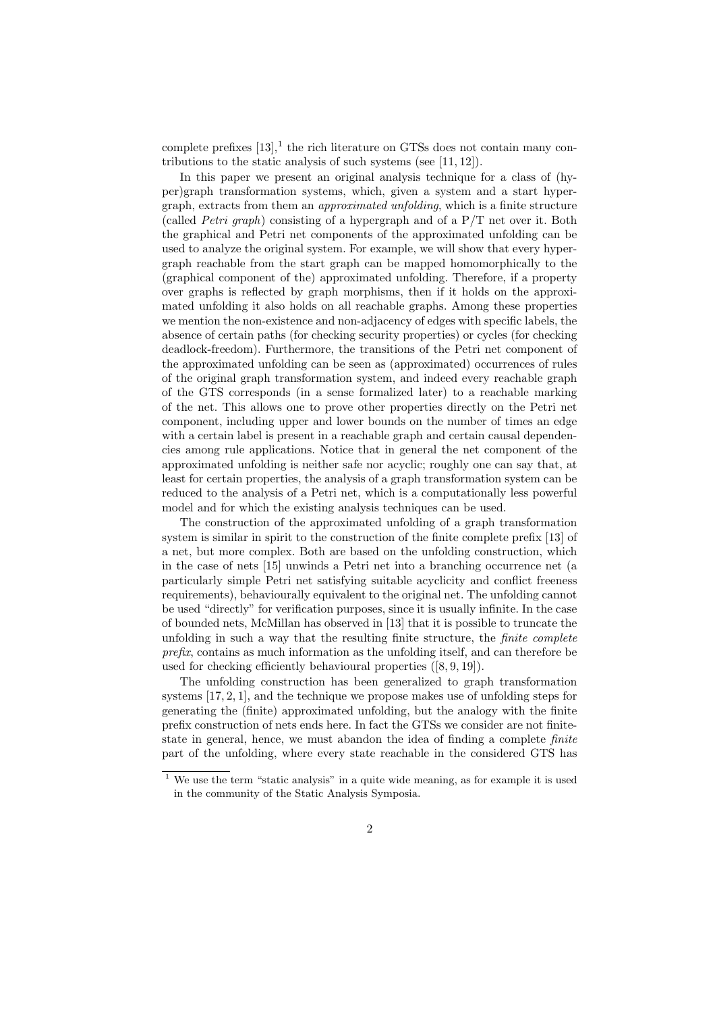complete prefixes  $[13]$ ,<sup>1</sup> the rich literature on GTSs does not contain many contributions to the static analysis of such systems (see [11, 12]).

In this paper we present an original analysis technique for a class of (hyper)graph transformation systems, which, given a system and a start hypergraph, extracts from them an approximated unfolding, which is a finite structure (called *Petri graph*) consisting of a hypergraph and of a  $P/T$  net over it. Both the graphical and Petri net components of the approximated unfolding can be used to analyze the original system. For example, we will show that every hypergraph reachable from the start graph can be mapped homomorphically to the (graphical component of the) approximated unfolding. Therefore, if a property over graphs is reflected by graph morphisms, then if it holds on the approximated unfolding it also holds on all reachable graphs. Among these properties we mention the non-existence and non-adjacency of edges with specific labels, the absence of certain paths (for checking security properties) or cycles (for checking deadlock-freedom). Furthermore, the transitions of the Petri net component of the approximated unfolding can be seen as (approximated) occurrences of rules of the original graph transformation system, and indeed every reachable graph of the GTS corresponds (in a sense formalized later) to a reachable marking of the net. This allows one to prove other properties directly on the Petri net component, including upper and lower bounds on the number of times an edge with a certain label is present in a reachable graph and certain causal dependencies among rule applications. Notice that in general the net component of the approximated unfolding is neither safe nor acyclic; roughly one can say that, at least for certain properties, the analysis of a graph transformation system can be reduced to the analysis of a Petri net, which is a computationally less powerful model and for which the existing analysis techniques can be used.

The construction of the approximated unfolding of a graph transformation system is similar in spirit to the construction of the finite complete prefix [13] of a net, but more complex. Both are based on the unfolding construction, which in the case of nets [15] unwinds a Petri net into a branching occurrence net (a particularly simple Petri net satisfying suitable acyclicity and conflict freeness requirements), behaviourally equivalent to the original net. The unfolding cannot be used "directly" for verification purposes, since it is usually infinite. In the case of bounded nets, McMillan has observed in [13] that it is possible to truncate the unfolding in such a way that the resulting finite structure, the *finite complete* prefix, contains as much information as the unfolding itself, and can therefore be used for checking efficiently behavioural properties ([8, 9, 19]).

The unfolding construction has been generalized to graph transformation systems [17, 2, 1], and the technique we propose makes use of unfolding steps for generating the (finite) approximated unfolding, but the analogy with the finite prefix construction of nets ends here. In fact the GTSs we consider are not finitestate in general, hence, we must abandon the idea of finding a complete finite part of the unfolding, where every state reachable in the considered GTS has

<sup>1</sup> We use the term "static analysis" in a quite wide meaning, as for example it is used in the community of the Static Analysis Symposia.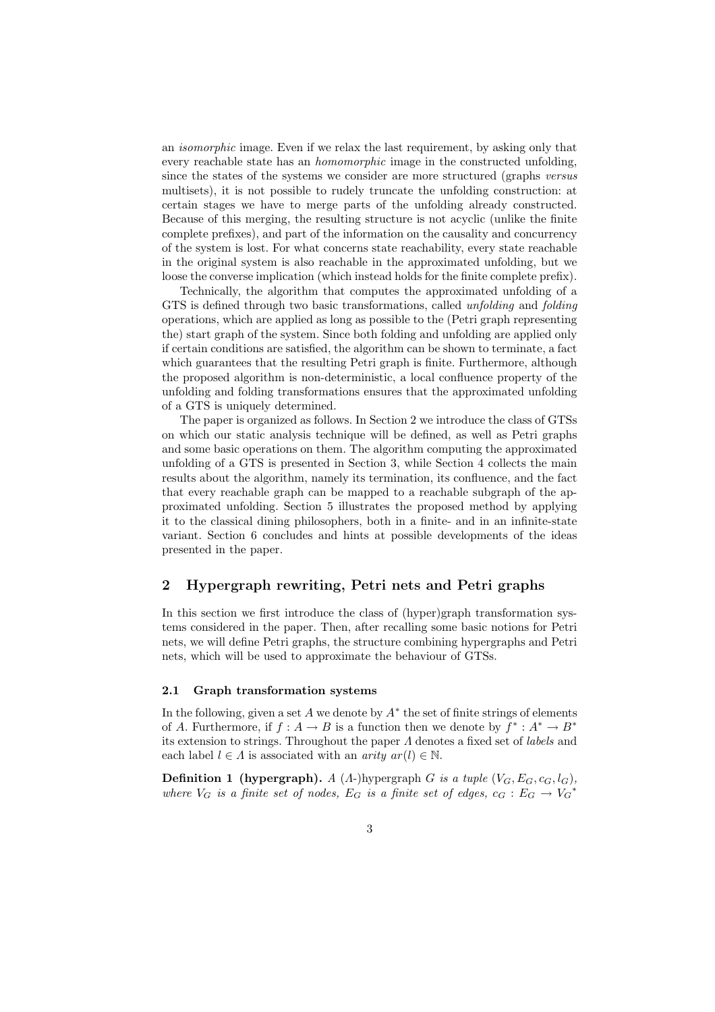an isomorphic image. Even if we relax the last requirement, by asking only that every reachable state has an *homomorphic* image in the constructed unfolding, since the states of the systems we consider are more structured (graphs versus multisets), it is not possible to rudely truncate the unfolding construction: at certain stages we have to merge parts of the unfolding already constructed. Because of this merging, the resulting structure is not acyclic (unlike the finite complete prefixes), and part of the information on the causality and concurrency of the system is lost. For what concerns state reachability, every state reachable in the original system is also reachable in the approximated unfolding, but we loose the converse implication (which instead holds for the finite complete prefix).

Technically, the algorithm that computes the approximated unfolding of a GTS is defined through two basic transformations, called unfolding and folding operations, which are applied as long as possible to the (Petri graph representing the) start graph of the system. Since both folding and unfolding are applied only if certain conditions are satisfied, the algorithm can be shown to terminate, a fact which guarantees that the resulting Petri graph is finite. Furthermore, although the proposed algorithm is non-deterministic, a local confluence property of the unfolding and folding transformations ensures that the approximated unfolding of a GTS is uniquely determined.

The paper is organized as follows. In Section 2 we introduce the class of GTSs on which our static analysis technique will be defined, as well as Petri graphs and some basic operations on them. The algorithm computing the approximated unfolding of a GTS is presented in Section 3, while Section 4 collects the main results about the algorithm, namely its termination, its confluence, and the fact that every reachable graph can be mapped to a reachable subgraph of the approximated unfolding. Section 5 illustrates the proposed method by applying it to the classical dining philosophers, both in a finite- and in an infinite-state variant. Section 6 concludes and hints at possible developments of the ideas presented in the paper.

## 2 Hypergraph rewriting, Petri nets and Petri graphs

In this section we first introduce the class of (hyper)graph transformation systems considered in the paper. Then, after recalling some basic notions for Petri nets, we will define Petri graphs, the structure combining hypergraphs and Petri nets, which will be used to approximate the behaviour of GTSs.

#### 2.1 Graph transformation systems

In the following, given a set  $A$  we denote by  $A^*$  the set of finite strings of elements of A. Furthermore, if  $f : A \to B$  is a function then we denote by  $f^* : A^* \to B^*$ its extension to strings. Throughout the paper Λ denotes a fixed set of labels and each label  $l \in \Lambda$  is associated with an *arity*  $ar(l) \in \mathbb{N}$ .

**Definition 1 (hypergraph).** A ( $\Lambda$ -)hypergraph G is a tuple  $(V_G, E_G, c_G, l_G)$ , where  $V_G$  is a finite set of nodes,  $E_G$  is a finite set of edges,  $c_G : E_G \to V_G^*$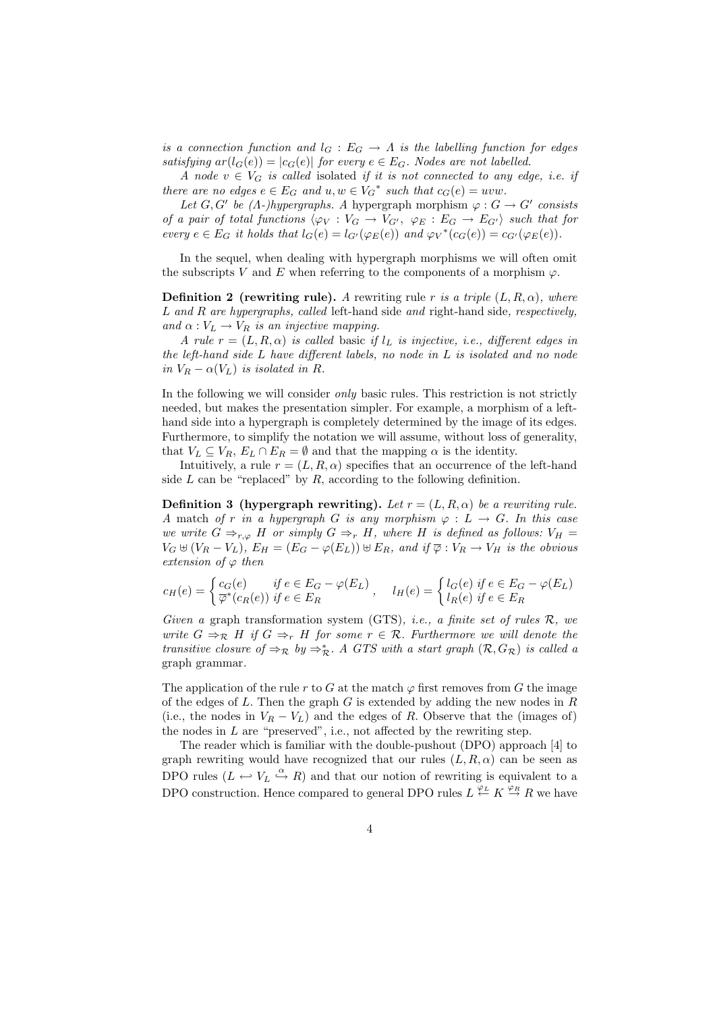is a connection function and  $l_G : E_G \to \Lambda$  is the labelling function for edges satisfying  $ar(l_G(e)) = |c_G(e)|$  for every  $e \in E_G$ . Nodes are not labelled.

A node  $v \in V_G$  is called isolated if it is not connected to any edge, i.e. if there are no edges  $e \in E_G$  and  $u, w \in V_G^*$  such that  $c_G(e) = uvw$ .

Let  $G, G'$  be  $(A-)hypergraphs. A hypergraph morphism  $\varphi : G \to G'$  consists$ of a pair of total functions  $\langle \varphi_V : V_G \to V_{G'}$ ,  $\varphi_E : E_G \to E_{G'} \rangle$  such that for every  $e \in E_G$  it holds that  $l_G(e) = l_{G'}(\varphi_E(e))$  and  $\varphi_V^*(c_G(e)) = c_{G'}(\varphi_E(e))$ .

In the sequel, when dealing with hypergraph morphisms we will often omit the subscripts V and E when referring to the components of a morphism  $\varphi$ .

**Definition 2** (rewriting rule). A rewriting rule r is a triple  $(L, R, \alpha)$ , where  $L$  and  $R$  are hypergraphs, called left-hand side and right-hand side, respectively, and  $\alpha: V_L \to V_R$  is an injective mapping.

A rule  $r = (L, R, \alpha)$  is called basic if  $l_L$  is injective, i.e., different edges in the left-hand side L have different labels, no node in L is isolated and no node in  $V_R - \alpha(V_L)$  is isolated in R.

In the following we will consider *only* basic rules. This restriction is not strictly needed, but makes the presentation simpler. For example, a morphism of a lefthand side into a hypergraph is completely determined by the image of its edges. Furthermore, to simplify the notation we will assume, without loss of generality, that  $V_L \subseteq V_R$ ,  $E_L \cap E_R = \emptyset$  and that the mapping  $\alpha$  is the identity.

Intuitively, a rule  $r = (L, R, \alpha)$  specifies that an occurrence of the left-hand side  $L$  can be "replaced" by  $R$ , according to the following definition.

**Definition 3** (hypergraph rewriting). Let  $r = (L, R, \alpha)$  be a rewriting rule. A match of r in a hypergraph G is any morphism  $\varphi : L \to G$ . In this case we write  $G \Rightarrow_{r,\varphi} H$  or simply  $G \Rightarrow_r H$ , where H is defined as follows:  $V_H =$  $V_G \uplus (V_R - V_L)$ ,  $E_H = (E_G - \varphi(E_L)) \uplus E_R$ , and if  $\overline{\varphi}: V_R \to V_H$  is the obvious extension of  $\varphi$  then

$$
c_H(e) = \begin{cases} c_G(e) & \text{if } e \in E_G - \varphi(E_L) \\ \overline{\varphi}^*(c_R(e)) & \text{if } e \in E_R \end{cases}, \quad l_H(e) = \begin{cases} l_G(e) & \text{if } e \in E_G - \varphi(E_L) \\ l_R(e) & \text{if } e \in E_R \end{cases}
$$

Given a graph transformation system (GTS), *i.e.*, a finite set of rules  $\mathcal{R}$ , we write  $G \Rightarrow_{\mathcal{R}} H$  if  $G \Rightarrow_{r} H$  for some  $r \in \mathcal{R}$ . Furthermore we will denote the transitive closure of  $\Rightarrow_{\mathcal{R}}$  by  $\Rightarrow_{\mathcal{R}}^*$ . A GTS with a start graph  $(\mathcal{R}, G_{\mathcal{R}})$  is called a graph grammar.

The application of the rule r to G at the match  $\varphi$  first removes from G the image of the edges of  $L$ . Then the graph  $G$  is extended by adding the new nodes in  $R$ (i.e., the nodes in  $V_R - V_L$ ) and the edges of R. Observe that the (images of) the nodes in  $L$  are "preserved", i.e., not affected by the rewriting step.

The reader which is familiar with the double-pushout (DPO) approach [4] to graph rewriting would have recognized that our rules  $(L, R, \alpha)$  can be seen as DPO rules  $(L \leftrightarrow V_L \stackrel{\alpha}{\hookrightarrow} R)$  and that our notion of rewriting is equivalent to a DPO construction. Hence compared to general DPO rules  $L \stackrel{\varphi_L}{\leftarrow} K \stackrel{\varphi_R}{\rightarrow} R$  we have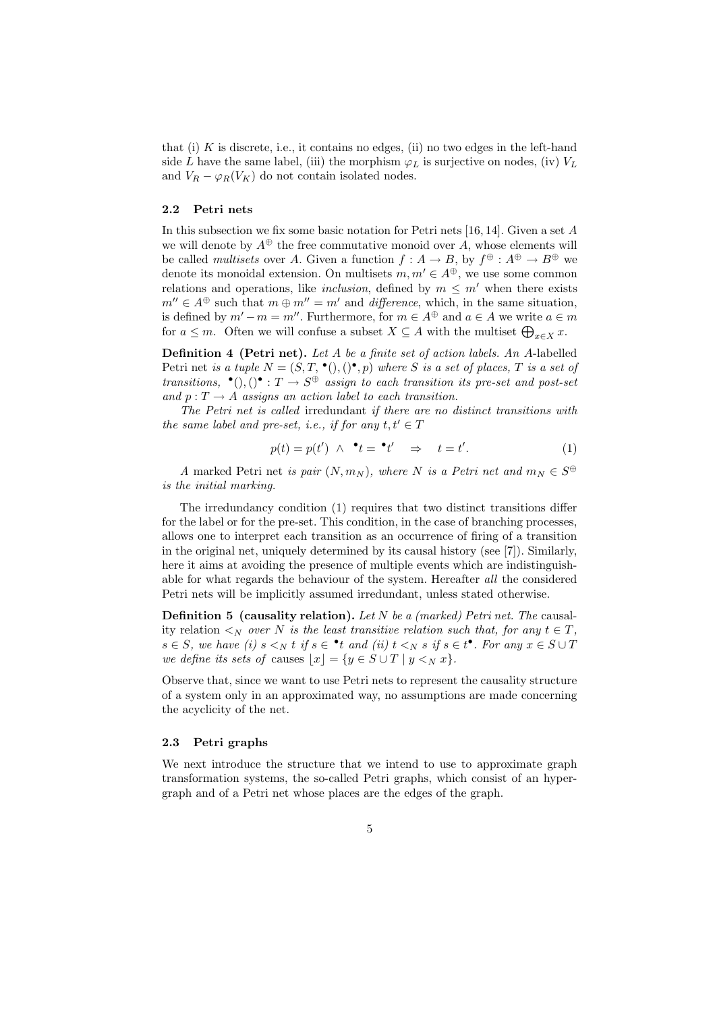that (i) K is discrete, i.e., it contains no edges, (ii) no two edges in the left-hand side L have the same label, (iii) the morphism  $\varphi_L$  is surjective on nodes, (iv)  $V_L$ and  $V_R - \varphi_R(V_K)$  do not contain isolated nodes.

#### 2.2 Petri nets

In this subsection we fix some basic notation for Petri nets [16, 14]. Given a set A we will denote by  $A^{\oplus}$  the free commutative monoid over A, whose elements will be called *multisets* over A. Given a function  $f: A \to B$ , by  $f^{\oplus}: A^{\oplus} \to B^{\oplus}$  we denote its monoidal extension. On multisets  $m, m' \in A^{\oplus}$ , we use some common relations and operations, like *inclusion*, defined by  $m \leq m'$  when there exists  $m'' \in A^{\oplus}$  such that  $m \oplus m'' = m'$  and difference, which, in the same situation, is defined by  $m'-m = m''$ . Furthermore, for  $m \in A^{\oplus}$  and  $a \in A$  we write  $a \in m$ for  $a \leq m$ . Often we will confuse a subset  $X \subseteq A$  with the multiset  $\bigoplus_{x \in X} x$ .

Definition 4 (Petri net). Let A be a finite set of action labels. An A-labelled Petri net is a tuple  $N = (S, T, \bullet), (S, P)$  where S is a set of places, T is a set of transitions,  $\bullet$  (), () $\bullet$  :  $T \to S^{\oplus}$  assign to each transition its pre-set and post-set and  $p: T \to A$  assigns an action label to each transition.

The Petri net is called irredundant if there are no distinct transitions with the same label and pre-set, i.e., if for any  $t, t' \in T$ 

$$
p(t) = p(t') \ \land \ \cdot^{\bullet}t = \ ^{\bullet}t' \quad \Rightarrow \quad t = t'. \tag{1}
$$

A marked Petri net is pair  $(N, m_N)$ , where N is a Petri net and  $m_N \in S^{\oplus}$ is the initial marking.

The irredundancy condition (1) requires that two distinct transitions differ for the label or for the pre-set. This condition, in the case of branching processes, allows one to interpret each transition as an occurrence of firing of a transition in the original net, uniquely determined by its causal history (see [7]). Similarly, here it aims at avoiding the presence of multiple events which are indistinguishable for what regards the behaviour of the system. Hereafter all the considered Petri nets will be implicitly assumed irredundant, unless stated otherwise.

**Definition 5** (causality relation). Let N be a (marked) Petri net. The causality relation  $\leq_N$  over N is the least transitive relation such that, for any  $t \in T$ ,  $s \in S$ , we have (i)  $s \leq_N t$  if  $s \in \cdot t$  and (ii)  $t \leq_N s$  if  $s \in t^{\bullet}$ . For any  $x \in S \cup T$ we define its sets of causes  $\lfloor x \rfloor = \{y \in S \cup T \mid y \leq_N x\}.$ 

Observe that, since we want to use Petri nets to represent the causality structure of a system only in an approximated way, no assumptions are made concerning the acyclicity of the net.

#### 2.3 Petri graphs

We next introduce the structure that we intend to use to approximate graph transformation systems, the so-called Petri graphs, which consist of an hypergraph and of a Petri net whose places are the edges of the graph.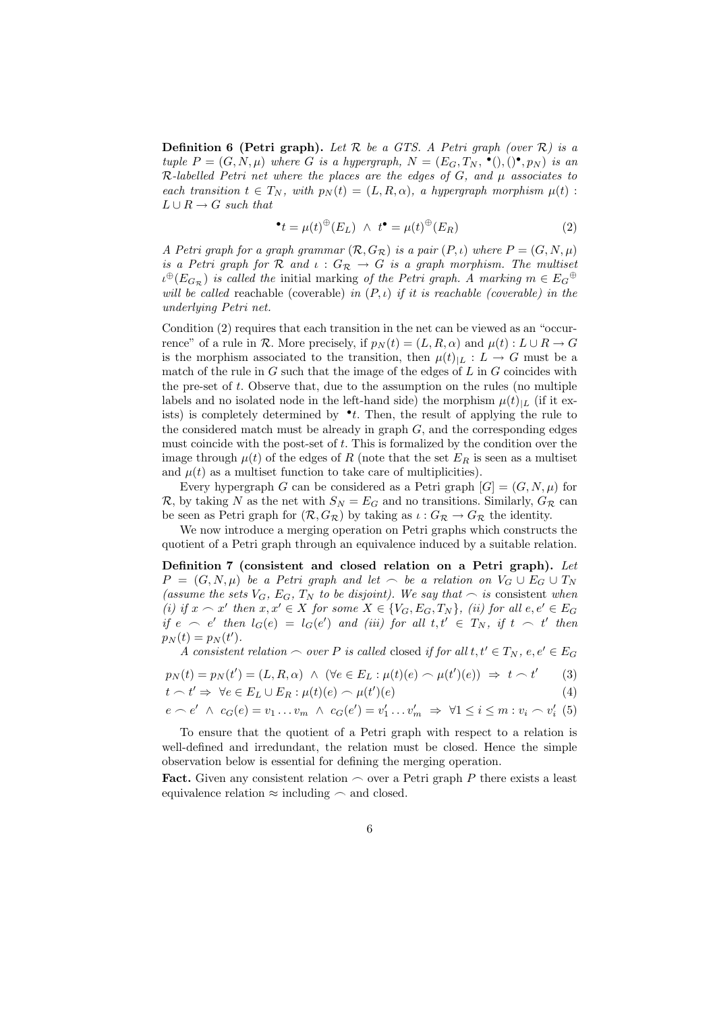**Definition 6 (Petri graph).** Let  $\mathcal{R}$  be a GTS. A Petri graph (over  $\mathcal{R}$ ) is a tuple  $P = (G, N, \mu)$  where G is a hypergraph,  $N = (E_G, T_N, \cdot), (\cdot) \cdot, p_N)$  is an  $R$ -labelled Petri net where the places are the edges of  $G$ , and  $\mu$  associates to each transition  $t \in T_N$ , with  $p_N(t) = (L, R, \alpha)$ , a hypergraph morphism  $\mu(t)$ :  $L \cup R \rightarrow G$  such that

$$
\bullet t = \mu(t)^{\oplus}(E_L) \ \wedge \ t^{\bullet} = \mu(t)^{\oplus}(E_R) \tag{2}
$$

A Petri graph for a graph grammar  $(\mathcal{R}, G_{\mathcal{R}})$  is a pair  $(P, \iota)$  where  $P = (G, N, \mu)$ is a Petri graph for  $R$  and  $\iota : G_R \to G$  is a graph morphism. The multiset  $\iota^{\oplus}(E_{G_{\mathcal{R}}})$  is called the initial marking of the Petri graph. A marking  $m \in E_G^{\oplus}$ will be called reachable (coverable) in  $(P, \iota)$  if it is reachable (coverable) in the underlying Petri net.

Condition (2) requires that each transition in the net can be viewed as an "occurrence" of a rule in R. More precisely, if  $p_N(t) = (L, R, \alpha)$  and  $\mu(t) : L \cup R \rightarrow G$ is the morphism associated to the transition, then  $\mu(t)|_L : L \to G$  must be a match of the rule in  $G$  such that the image of the edges of  $L$  in  $G$  coincides with the pre-set of  $t$ . Observe that, due to the assumption on the rules (no multiple labels and no isolated node in the left-hand side) the morphism  $\mu(t)|_L$  (if it exists) is completely determined by  $\bullet t$ . Then, the result of applying the rule to the considered match must be already in graph  $G$ , and the corresponding edges must coincide with the post-set of  $t$ . This is formalized by the condition over the image through  $\mu(t)$  of the edges of R (note that the set  $E_R$  is seen as a multiset and  $\mu(t)$  as a multiset function to take care of multiplicities).

Every hypergraph G can be considered as a Petri graph  $[G] = (G, N, \mu)$  for R, by taking N as the net with  $S_N = E_G$  and no transitions. Similarly,  $G_R$  can be seen as Petri graph for  $(\mathcal{R}, G_{\mathcal{R}})$  by taking as  $\iota : G_{\mathcal{R}} \to G_{\mathcal{R}}$  the identity.

We now introduce a merging operation on Petri graphs which constructs the quotient of a Petri graph through an equivalence induced by a suitable relation.

Definition 7 (consistent and closed relation on a Petri graph). Let  $P = (G, N, \mu)$  be a Petri graph and let  $\frown$  be a relation on  $V_G \cup E_G \cup T_N$ (assume the sets  $V_G$ ,  $E_G$ ,  $T_N$  to be disjoint). We say that  $\frown$  is consistent when (i) if  $x \sim x'$  then  $x, x' \in X$  for some  $X \in \{V_G, E_G, T_N\}$ , (ii) for all  $e, e' \in E_G$ if  $e \text{ and } l_G(e) = l_G(e')$  and (iii) for all  $t, t' \in T_N$ , if  $t \text{ and } t'$  then  $p_N(t) = p_N(t')$ .

A consistent relation  $\frown$  over P is called closed if for all  $t, t' \in T_N$ ,  $e, e' \in E_G$ 

$$
p_N(t) = p_N(t') = (L, R, \alpha) \wedge (\forall e \in E_L : \mu(t)(e) \sim \mu(t')(e)) \Rightarrow t \sim t'
$$
 (3)

$$
t \frown t' \Rightarrow \forall e \in E_L \cup E_R : \mu(t)(e) \frown \mu(t')(e) \tag{4}
$$

$$
e \frown e' \land c_G(e) = v_1 \dots v_m \land c_G(e') = v'_1 \dots v'_m \Rightarrow \forall 1 \leq i \leq m : v_i \frown v'_i \tag{5}
$$

To ensure that the quotient of a Petri graph with respect to a relation is well-defined and irredundant, the relation must be closed. Hence the simple observation below is essential for defining the merging operation.

**Fact.** Given any consistent relation  $\sim$  over a Petri graph P there exists a least equivalence relation  $\approx$  including  $\sim$  and closed.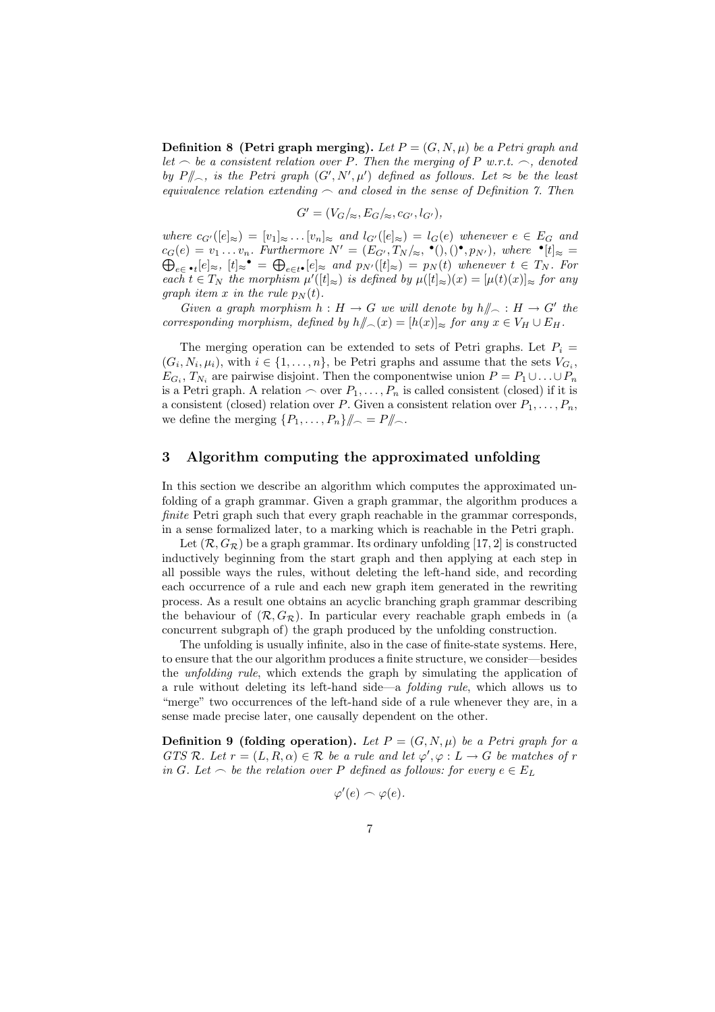**Definition 8** (Petri graph merging). Let  $P = (G, N, \mu)$  be a Petri graph and let  $\sim$  be a consistent relation over P. Then the merging of P w.r.t.  $\sim$ , denoted by  $P/\!\!/_{\!\sim}$ , is the Petri graph  $(G', N', \mu')$  defined as follows. Let  $\approx$  be the least equivalence relation extending  $\sim$  and closed in the sense of Definition 7. Then

$$
G'=(V_G/_{\approx}, E_G/_{\approx}, c_{G'}, l_{G'}),
$$

where  $c_{G'}([e]_{\approx}) = [v_1]_{\approx} \ldots [v_n]_{\approx}$  and  $l_{G'}([e]_{\approx}) = l_G(e)$  whenever  $e \in E_G$  and  $c_G(e) = v_1 \ldots v_n$ . Furthermore  $N' = (E_{G'}, T_N/\approx, \bullet), (0, \bullet, p_{N'})$ , where  $\bullet[t]_{\approx} =$  $\bigoplus_{e \in \mathbf{t}} \mathbf{e}[e]_{\approx}$ ,  $[t]_{\approx} \bullet = \bigoplus_{e \in \mathbf{t}} \mathbf{e}[e]_{\approx}$  and  $p_{N'}([t]_{\approx}) = p_N(t)$  whenever  $t \in T_N$ . For each  $t \in T_N$  the morphism  $\mu'([t]_{\approx})$  is defined by  $\mu([t]_{\approx})(x) = [\mu(t)(x)]_{\approx}$  for any graph item x in the rule  $p_N(t)$ .

Given a graph morphism  $h : H \to G$  we will denote by  $h \mid A \to G'$  the corresponding morphism, defined by  $h/\!\!/_{\!\sim}(x) = [h(x)]_{\approx}$  for any  $x \in V_H \cup E_H$ .

The merging operation can be extended to sets of Petri graphs. Let  $P_i =$  $(G_i, N_i, \mu_i)$ , with  $i \in \{1, ..., n\}$ , be Petri graphs and assume that the sets  $V_{G_i}$ ,  $E_{G_i}, T_{N_i}$  are pairwise disjoint. Then the componentwise union  $P = P_1 \cup \ldots \cup P_n$ is a Petri graph. A relation  $\frown$  over  $P_1, \ldots, P_n$  is called consistent (closed) if it is a consistent (closed) relation over P. Given a consistent relation over  $P_1, \ldots, P_n$ , we define the merging  $\{P_1, \ldots, P_n\}/\!\!/_{\!\!\sim} = P/\!\!/_{\!\!\sim}$ .

#### 3 Algorithm computing the approximated unfolding

In this section we describe an algorithm which computes the approximated unfolding of a graph grammar. Given a graph grammar, the algorithm produces a finite Petri graph such that every graph reachable in the grammar corresponds, in a sense formalized later, to a marking which is reachable in the Petri graph.

Let  $(\mathcal{R}, G_{\mathcal{R}})$  be a graph grammar. Its ordinary unfolding [17, 2] is constructed inductively beginning from the start graph and then applying at each step in all possible ways the rules, without deleting the left-hand side, and recording each occurrence of a rule and each new graph item generated in the rewriting process. As a result one obtains an acyclic branching graph grammar describing the behaviour of  $(\mathcal{R}, G_{\mathcal{R}})$ . In particular every reachable graph embeds in (a concurrent subgraph of) the graph produced by the unfolding construction.

The unfolding is usually infinite, also in the case of finite-state systems. Here, to ensure that the our algorithm produces a finite structure, we consider—besides the unfolding rule, which extends the graph by simulating the application of a rule without deleting its left-hand side—a folding rule, which allows us to "merge" two occurrences of the left-hand side of a rule whenever they are, in a sense made precise later, one causally dependent on the other.

**Definition 9 (folding operation).** Let  $P = (G, N, \mu)$  be a Petri graph for a GTS R. Let  $r = (L, R, \alpha) \in \mathcal{R}$  be a rule and let  $\varphi', \varphi : L \to G$  be matches of r in G. Let  $\frown$  be the relation over P defined as follows: for every  $e \in E_L$ 

$$
\varphi'(e) \frown \varphi(e).
$$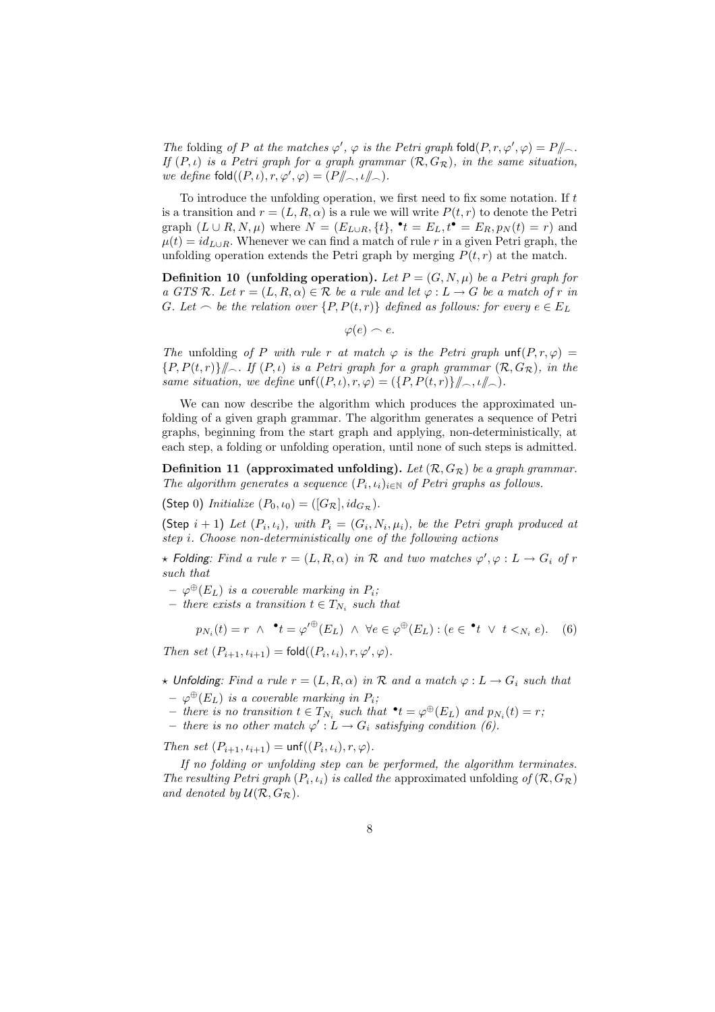The folding of P at the matches  $\varphi'$ ,  $\varphi$  is the Petri graph fold $(P, r, \varphi', \varphi) = P/\!\!/_{\sim}$ . If  $(P, \iota)$  is a Petri graph for a graph grammar  $(\mathcal{R}, G_{\mathcal{R}})$ , in the same situation, we define fold $((P, \iota), r, \varphi', \varphi) = (P/\!\!/_{\!\frown}, \iota/\!\!/_{\!\frown}).$ 

To introduce the unfolding operation, we first need to fix some notation. If  $t$ is a transition and  $r = (L, R, \alpha)$  is a rule we will write  $P(t, r)$  to denote the Petri graph  $(L \cup R, N, \mu)$  where  $N = (E_{L \cup R}, \{t\}, \cdot t = E_L, t^{\bullet} = E_R, p_N(t) = r)$  and  $\mu(t) = id_{L\cup R}$ . Whenever we can find a match of rule r in a given Petri graph, the unfolding operation extends the Petri graph by merging  $P(t, r)$  at the match.

**Definition 10 (unfolding operation).** Let  $P = (G, N, \mu)$  be a Petri graph for a GTS R. Let  $r = (L, R, \alpha) \in \mathcal{R}$  be a rule and let  $\varphi : L \to G$  be a match of r in G. Let  $\frown$  be the relation over  $\{P, P(t,r)\}\$  defined as follows: for every  $e \in E_L$ 

 $\varphi(e) \frown e$ .

The unfolding of P with rule r at match  $\varphi$  is the Petri graph  $\text{unf}(P, r, \varphi)$  =  ${P, P(t, r)}/\sqrt{N}$ . If  $(P, \iota)$  is a Petri graph for a graph grammar  $(\mathcal{R}, G_{\mathcal{R}})$ , in the same situation, we define  $\text{unf}((P,\iota), r, \varphi) = (\{P, P(t,r)\}\|_{\frown}, \iota\|_{\frown}).$ 

We can now describe the algorithm which produces the approximated unfolding of a given graph grammar. The algorithm generates a sequence of Petri graphs, beginning from the start graph and applying, non-deterministically, at each step, a folding or unfolding operation, until none of such steps is admitted.

Definition 11 (approximated unfolding). Let  $(R, G_R)$  be a graph grammar. The algorithm generates a sequence  $(P_i, \iota_i)_{i \in \mathbb{N}}$  of Petri graphs as follows.

(Step 0) Initialize  $(P_0, \iota_0) = (\lbrack G_{\mathcal{R}} \rbrack, id_{G_{\mathcal{R}}} ).$ 

(Step  $i+1$ ) Let  $(P_i, \iota_i)$ , with  $P_i = (G_i, N_i, \mu_i)$ , be the Petri graph produced at step i. Choose non-deterministically one of the following actions

 $\star$  Folding: Find a rule  $r = (L, R, \alpha)$  in R and two matches  $\varphi', \varphi : L \to G_i$  of r such that

 $- \varphi^{\oplus} (E_L)$  is a coverable marking in  $P_i$ ;

 $-$  there exists a transition  $t \in T_{N_i}$  such that

$$
p_{N_i}(t) = r \ \wedge \ \mathbf{e}_t = \varphi'^{\oplus}(E_L) \ \wedge \ \forall e \in \varphi^{\oplus}(E_L) : (e \in \mathbf{e}_t \ \vee \ t <_{N_i} e). \tag{6}
$$

Then set  $(P_{i+1}, \iota_{i+1}) = \text{fold}((P_i, \iota_i), r, \varphi', \varphi)$ .

- $\star$  Unfolding: Find a rule  $r = (L, R, \alpha)$  in R and a match  $\varphi : L \to G_i$  such that  $- \varphi^{\oplus} (E_L)$  is a coverable marking in  $P_i$ ;
- there is no transition  $t \in T_{N_i}$  such that  $\mathbf{t} = \varphi^{\oplus}(E_L)$  and  $p_{N_i}(t) = r$ ;
- there is no other match  $\varphi': L \to G_i$  satisfying condition (6).

Then set  $(P_{i+1}, \iota_{i+1}) = \text{unf}((P_i, \iota_i), r, \varphi)$ .

If no folding or unfolding step can be performed, the algorithm terminates. The resulting Petri graph  $(P_i, \iota_i)$  is called the approximated unfolding of  $(\mathcal{R}, G_{\mathcal{R}})$ and denoted by  $\mathcal{U}(\mathcal{R}, G_{\mathcal{R}})$ .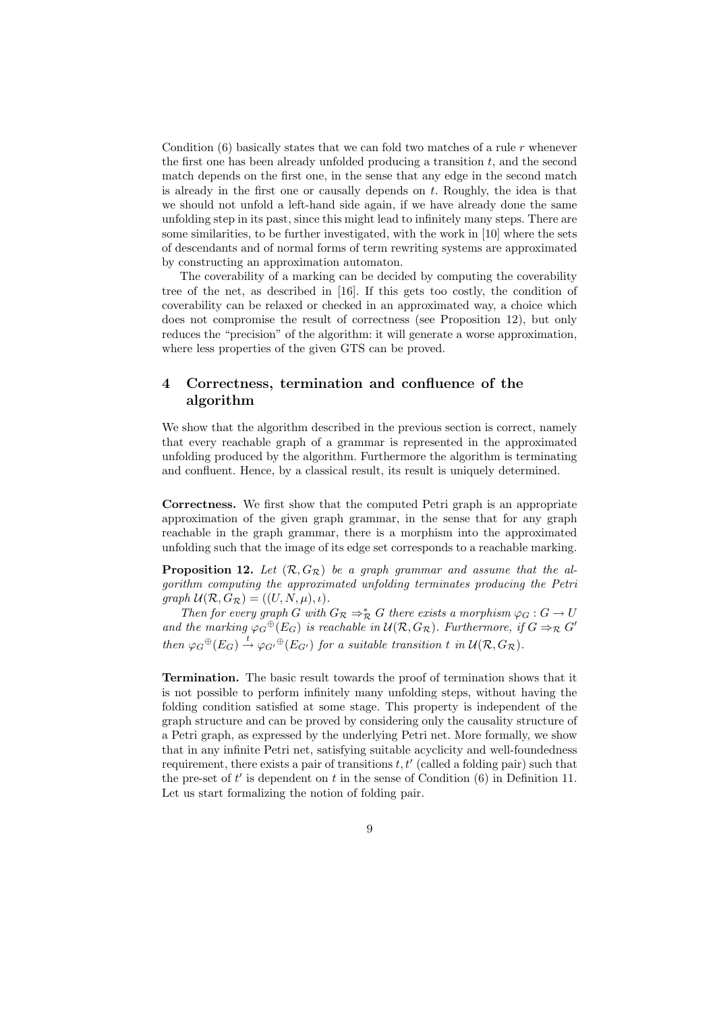Condition  $(6)$  basically states that we can fold two matches of a rule r whenever the first one has been already unfolded producing a transition  $t$ , and the second match depends on the first one, in the sense that any edge in the second match is already in the first one or causally depends on  $t$ . Roughly, the idea is that we should not unfold a left-hand side again, if we have already done the same unfolding step in its past, since this might lead to infinitely many steps. There are some similarities, to be further investigated, with the work in [10] where the sets of descendants and of normal forms of term rewriting systems are approximated by constructing an approximation automaton.

The coverability of a marking can be decided by computing the coverability tree of the net, as described in [16]. If this gets too costly, the condition of coverability can be relaxed or checked in an approximated way, a choice which does not compromise the result of correctness (see Proposition 12), but only reduces the "precision" of the algorithm: it will generate a worse approximation, where less properties of the given GTS can be proved.

# 4 Correctness, termination and confluence of the algorithm

We show that the algorithm described in the previous section is correct, namely that every reachable graph of a grammar is represented in the approximated unfolding produced by the algorithm. Furthermore the algorithm is terminating and confluent. Hence, by a classical result, its result is uniquely determined.

Correctness. We first show that the computed Petri graph is an appropriate approximation of the given graph grammar, in the sense that for any graph reachable in the graph grammar, there is a morphism into the approximated unfolding such that the image of its edge set corresponds to a reachable marking.

**Proposition 12.** Let  $(R, G_R)$  be a graph grammar and assume that the algorithm computing the approximated unfolding terminates producing the Petri  $graph \mathcal{U}(\mathcal{R}, G_{\mathcal{R}}) = ((U, N, \mu), \iota).$ 

Then for every graph G with  $G_{\mathcal{R}} \Rightarrow_{\mathcal{R}}^* G$  there exists a morphism  $\varphi_G: G \to U$ and the marking  $\varphi_G \oplus (E_G)$  is reachable in  $\mathcal{U}(\mathcal{R}, G_{\mathcal{R}})$ . Furthermore, if  $G \Rightarrow_{\mathcal{R}} G'$ then  $\varphi_G \oplus (E_G) \xrightarrow{t} \varphi_{G'} \oplus (E_{G'})$  for a suitable transition t in  $\mathcal{U}(\mathcal{R}, G_{\mathcal{R}})$ .

Termination. The basic result towards the proof of termination shows that it is not possible to perform infinitely many unfolding steps, without having the folding condition satisfied at some stage. This property is independent of the graph structure and can be proved by considering only the causality structure of a Petri graph, as expressed by the underlying Petri net. More formally, we show that in any infinite Petri net, satisfying suitable acyclicity and well-foundedness requirement, there exists a pair of transitions  $t, t'$  (called a folding pair) such that the pre-set of  $t'$  is dependent on  $t$  in the sense of Condition  $(6)$  in Definition 11. Let us start formalizing the notion of folding pair.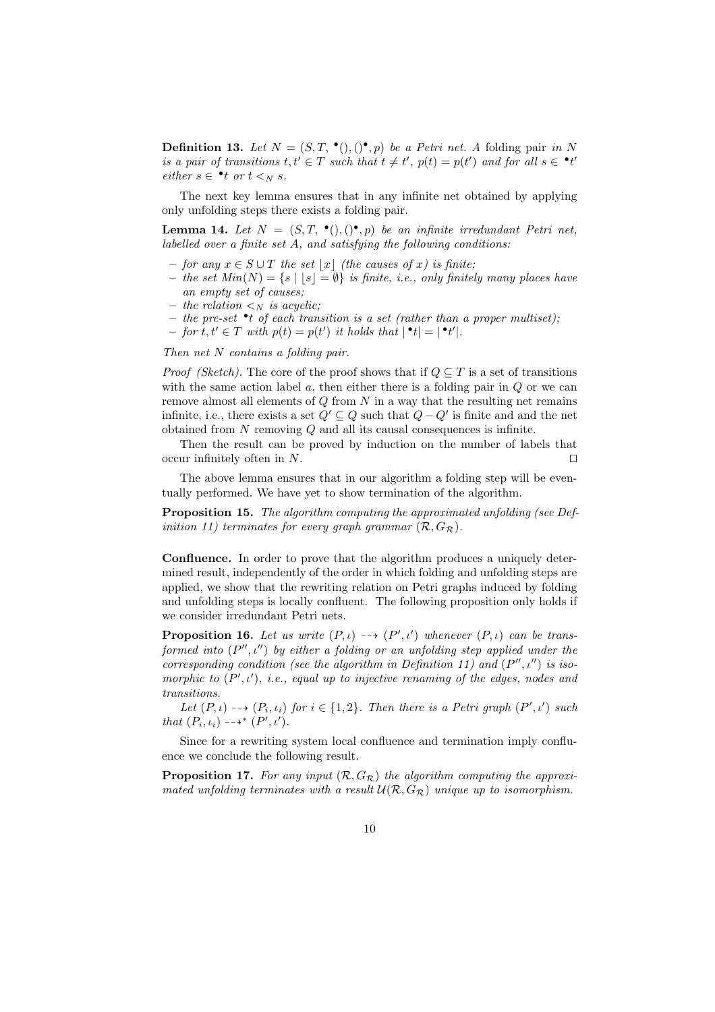**Definition 13.** Let  $N = (S, T, \cdot(0), 0, \cdot)$  be a Petri net. A folding pair in N is a pair of transitions  $t, t' \in T$  such that  $t \neq t'$ ,  $p(t) = p(t')$  and for all  $s \in \cdot t'$ either  $s \in \bullet t$  or  $t <_N s$ .

The next key lemma ensures that in any infinite net obtained by applying only unfolding steps there exists a folding pair.

**Lemma 14.** Let  $N = (S, T, \bullet), ()$ , p) be an infinite irredundant Petri net, labelled over a finite set  $A$ , and satisfying the following conditions:

- $−$  for any  $x \in S \cup T$  the set  $\lfloor x \rfloor$  (the causes of x) is finite;
- the set  $Min(N) = \{s \mid |s| = \emptyset\}$  is finite, i.e., only finitely many places have an empty set of causes;
- the relation  $\lt_N$  is acyclic;
- $-$  the pre-set  $\bullet t$  of each transition is a set (rather than a proper multiset);
- $-$  for  $t, t' \in T$  with  $p(t) = p(t')$  it holds that  $|\cdot t| = |\cdot t'|$ .

## Then net N contains a folding pair.

*Proof (Sketch)*. The core of the proof shows that if  $Q \subseteq T$  is a set of transitions with the same action label  $a$ , then either there is a folding pair in  $Q$  or we can remove almost all elements of  $Q$  from  $N$  in a way that the resulting net remains infinite, i.e., there exists a set  $Q' \subseteq Q$  such that  $Q - Q'$  is finite and and the net obtained from N removing Q and all its causal consequences is infinite.

Then the result can be proved by induction on the number of labels that occur infinitely often in  $N$ .

The above lemma ensures that in our algorithm a folding step will be eventually performed. We have yet to show termination of the algorithm.

Proposition 15. The algorithm computing the approximated unfolding (see Definition 11) terminates for every graph grammar  $(\mathcal{R}, G_{\mathcal{R}})$ .

Confluence. In order to prove that the algorithm produces a uniquely determined result, independently of the order in which folding and unfolding steps are applied, we show that the rewriting relation on Petri graphs induced by folding and unfolding steps is locally confluent. The following proposition only holds if we consider irredundant Petri nets.

**Proposition 16.** Let us write  $(P, \iota) \dashrightarrow (P', \iota')$  whenever  $(P, \iota)$  can be transformed into  $(P'', u'')$  by either a folding or an unfolding step applied under the corresponding condition (see the algorithm in Definition 11) and  $(P'', \iota'')$  is isomorphic to  $(P', \iota')$ , i.e., equal up to injective renaming of the edges, nodes and transitions.

Let  $(P, \iota) \dashrightarrow (P_i, \iota_i)$  for  $i \in \{1, 2\}$ . Then there is a Petri graph  $(P', \iota')$  such that  $(P_i, \iota_i) \dashrightarrow^* (P', \iota').$ 

Since for a rewriting system local confluence and termination imply confluence we conclude the following result.

**Proposition 17.** For any input  $(R, G_R)$  the algorithm computing the approximated unfolding terminates with a result  $\mathcal{U}(\mathcal{R}, G_{\mathcal{R}})$  unique up to isomorphism.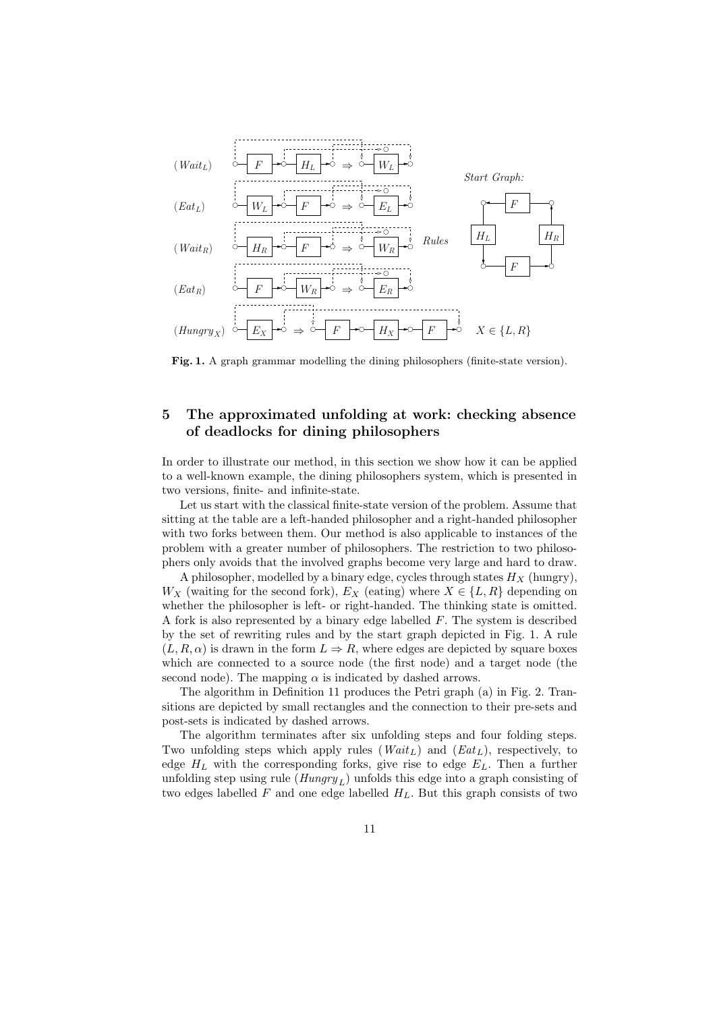

Fig. 1. A graph grammar modelling the dining philosophers (finite-state version).

# 5 The approximated unfolding at work: checking absence of deadlocks for dining philosophers

In order to illustrate our method, in this section we show how it can be applied to a well-known example, the dining philosophers system, which is presented in two versions, finite- and infinite-state.

Let us start with the classical finite-state version of the problem. Assume that sitting at the table are a left-handed philosopher and a right-handed philosopher with two forks between them. Our method is also applicable to instances of the problem with a greater number of philosophers. The restriction to two philosophers only avoids that the involved graphs become very large and hard to draw.

A philosopher, modelled by a binary edge, cycles through states  $H_X$  (hungry),  $W_X$  (waiting for the second fork),  $E_X$  (eating) where  $X \in \{L, R\}$  depending on whether the philosopher is left- or right-handed. The thinking state is omitted. A fork is also represented by a binary edge labelled  $F$ . The system is described by the set of rewriting rules and by the start graph depicted in Fig. 1. A rule  $(L, R, \alpha)$  is drawn in the form  $L \Rightarrow R$ , where edges are depicted by square boxes which are connected to a source node (the first node) and a target node (the second node). The mapping  $\alpha$  is indicated by dashed arrows.

The algorithm in Definition 11 produces the Petri graph (a) in Fig. 2. Transitions are depicted by small rectangles and the connection to their pre-sets and post-sets is indicated by dashed arrows.

The algorithm terminates after six unfolding steps and four folding steps. Two unfolding steps which apply rules  $(Wait_L)$  and  $(Eat_L)$ , respectively, to edge  $H_L$  with the corresponding forks, give rise to edge  $E_L$ . Then a further unfolding step using rule  $(Hungry_L)$  unfolds this edge into a graph consisting of two edges labelled  $F$  and one edge labelled  $H_L$ . But this graph consists of two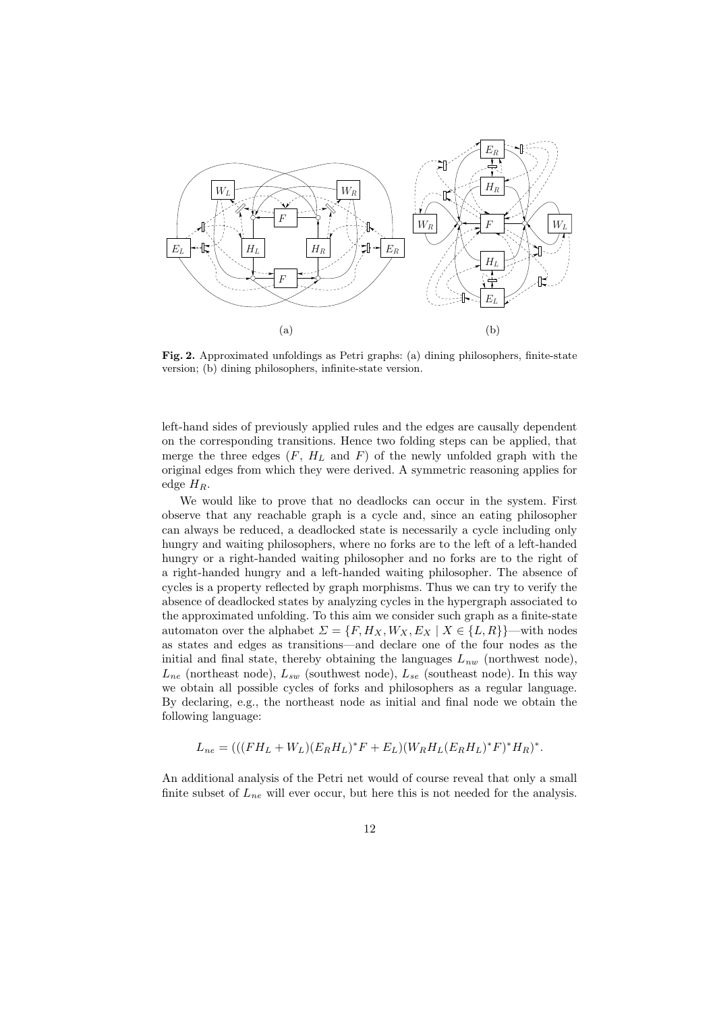

Fig. 2. Approximated unfoldings as Petri graphs: (a) dining philosophers, finite-state version; (b) dining philosophers, infinite-state version.

left-hand sides of previously applied rules and the edges are causally dependent on the corresponding transitions. Hence two folding steps can be applied, that merge the three edges  $(F, H_L$  and  $F)$  of the newly unfolded graph with the original edges from which they were derived. A symmetric reasoning applies for edge  $H_R$ .

We would like to prove that no deadlocks can occur in the system. First observe that any reachable graph is a cycle and, since an eating philosopher can always be reduced, a deadlocked state is necessarily a cycle including only hungry and waiting philosophers, where no forks are to the left of a left-handed hungry or a right-handed waiting philosopher and no forks are to the right of a right-handed hungry and a left-handed waiting philosopher. The absence of cycles is a property reflected by graph morphisms. Thus we can try to verify the absence of deadlocked states by analyzing cycles in the hypergraph associated to the approximated unfolding. To this aim we consider such graph as a finite-state automaton over the alphabet  $\Sigma = \{F, H_X, W_X, E_X \mid X \in \{L, R\}\}\)$  with nodes as states and edges as transitions—and declare one of the four nodes as the initial and final state, thereby obtaining the languages  $L_{nw}$  (northwest node),  $L_{ne}$  (northeast node),  $L_{sw}$  (southwest node),  $L_{se}$  (southeast node). In this way we obtain all possible cycles of forks and philosophers as a regular language. By declaring, e.g., the northeast node as initial and final node we obtain the following language:

$$
L_{ne} = (((FH_L + W_L)(E_R H_L)^* F + E_L)(W_R H_L (E_R H_L)^* F)^* H_R)^*.
$$

An additional analysis of the Petri net would of course reveal that only a small finite subset of  $L_{ne}$  will ever occur, but here this is not needed for the analysis.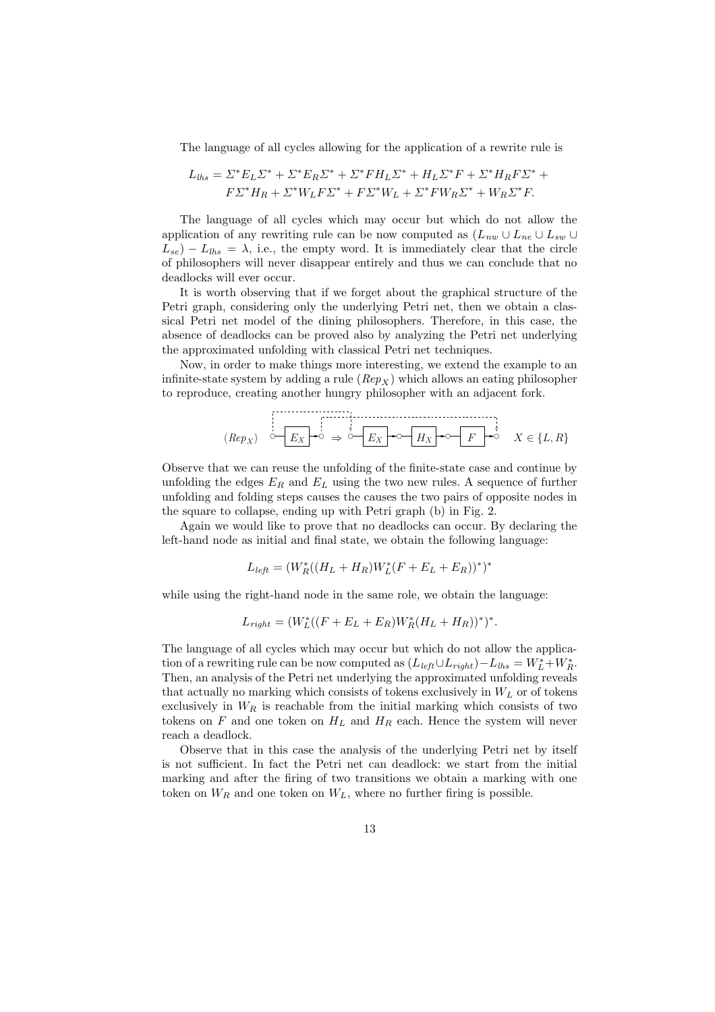The language of all cycles allowing for the application of a rewrite rule is

$$
L_{lhs} = \Sigma^* E_L \Sigma^* + \Sigma^* E_R \Sigma^* + \Sigma^* F H_L \Sigma^* + H_L \Sigma^* F + \Sigma^* H_R F \Sigma^* + F \Sigma^* H_R + \Sigma^* W_L F \Sigma^* + F \Sigma^* W_L + \Sigma^* F W_R \Sigma^* + W_R \Sigma^* F.
$$

The language of all cycles which may occur but which do not allow the application of any rewriting rule can be now computed as  $(L_{nw} \cup L_{ne} \cup L_{sw} \cup L_{sw})$  $L_{se}$ ) –  $L_{hs} = \lambda$ , i.e., the empty word. It is immediately clear that the circle of philosophers will never disappear entirely and thus we can conclude that no deadlocks will ever occur.

It is worth observing that if we forget about the graphical structure of the Petri graph, considering only the underlying Petri net, then we obtain a classical Petri net model of the dining philosophers. Therefore, in this case, the absence of deadlocks can be proved also by analyzing the Petri net underlying the approximated unfolding with classical Petri net techniques.

Now, in order to make things more interesting, we extend the example to an infinite-state system by adding a rule  $(\text{Rep}_X)$  which allows an eating philosopher to reproduce, creating another hungry philosopher with an adjacent fork.

$$
(Rep_X) \quad \circledcirc \begin{array}{c} \begin{matrix} \cdot & \cdot & \cdot \\ \cdot & \cdot & \cdot \\ \hline E_X & \bullet \end{matrix} & \to \circledcirc \begin{matrix} \cdot & \cdot & \cdot \\ \hline E_X & \bullet \circ \cdot & \cdot & \cdot \\ \hline H_X & \bullet \circ \cdot & \cdot & \cdot \end{matrix} & X \in \{L, R\} \end{array}
$$

Observe that we can reuse the unfolding of the finite-state case and continue by unfolding the edges  $E_R$  and  $E_L$  using the two new rules. A sequence of further unfolding and folding steps causes the causes the two pairs of opposite nodes in the square to collapse, ending up with Petri graph (b) in Fig. 2.

Again we would like to prove that no deadlocks can occur. By declaring the left-hand node as initial and final state, we obtain the following language:

$$
L_{left} = (W_R^*((H_L + H_R)W_L^*(F + E_L + E_R))^*)^*
$$

while using the right-hand node in the same role, we obtain the language:

$$
L_{right} = (W_L^*(F + E_L + E_R)W_R^*(H_L + H_R))^*)^*.
$$

The language of all cycles which may occur but which do not allow the application of a rewriting rule can be now computed as  $(L_{left} \cup L_{right}) - L_{lhs} = W_L^* + W_R^*$ . Then, an analysis of the Petri net underlying the approximated unfolding reveals that actually no marking which consists of tokens exclusively in  $W_L$  or of tokens exclusively in  $W_R$  is reachable from the initial marking which consists of two tokens on F and one token on  $H_L$  and  $H_R$  each. Hence the system will never reach a deadlock.

Observe that in this case the analysis of the underlying Petri net by itself is not sufficient. In fact the Petri net can deadlock: we start from the initial marking and after the firing of two transitions we obtain a marking with one token on  $W_R$  and one token on  $W_L$ , where no further firing is possible.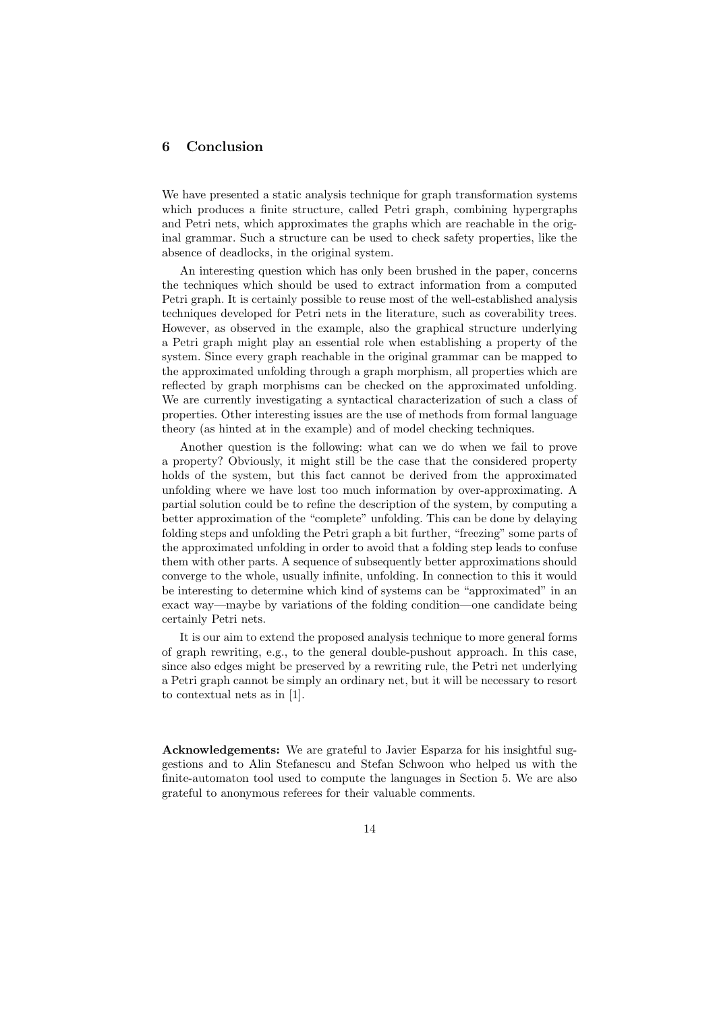## 6 Conclusion

We have presented a static analysis technique for graph transformation systems which produces a finite structure, called Petri graph, combining hypergraphs and Petri nets, which approximates the graphs which are reachable in the original grammar. Such a structure can be used to check safety properties, like the absence of deadlocks, in the original system.

An interesting question which has only been brushed in the paper, concerns the techniques which should be used to extract information from a computed Petri graph. It is certainly possible to reuse most of the well-established analysis techniques developed for Petri nets in the literature, such as coverability trees. However, as observed in the example, also the graphical structure underlying a Petri graph might play an essential role when establishing a property of the system. Since every graph reachable in the original grammar can be mapped to the approximated unfolding through a graph morphism, all properties which are reflected by graph morphisms can be checked on the approximated unfolding. We are currently investigating a syntactical characterization of such a class of properties. Other interesting issues are the use of methods from formal language theory (as hinted at in the example) and of model checking techniques.

Another question is the following: what can we do when we fail to prove a property? Obviously, it might still be the case that the considered property holds of the system, but this fact cannot be derived from the approximated unfolding where we have lost too much information by over-approximating. A partial solution could be to refine the description of the system, by computing a better approximation of the "complete" unfolding. This can be done by delaying folding steps and unfolding the Petri graph a bit further, "freezing" some parts of the approximated unfolding in order to avoid that a folding step leads to confuse them with other parts. A sequence of subsequently better approximations should converge to the whole, usually infinite, unfolding. In connection to this it would be interesting to determine which kind of systems can be "approximated" in an exact way—maybe by variations of the folding condition—one candidate being certainly Petri nets.

It is our aim to extend the proposed analysis technique to more general forms of graph rewriting, e.g., to the general double-pushout approach. In this case, since also edges might be preserved by a rewriting rule, the Petri net underlying a Petri graph cannot be simply an ordinary net, but it will be necessary to resort to contextual nets as in [1].

Acknowledgements: We are grateful to Javier Esparza for his insightful suggestions and to Alin Stefanescu and Stefan Schwoon who helped us with the finite-automaton tool used to compute the languages in Section 5. We are also grateful to anonymous referees for their valuable comments.